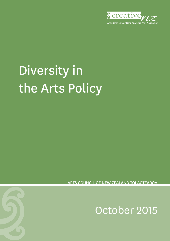

# Diversity in the Arts Policy

ARTS COUNCIL OF NEW ZEALAND TOI AOTEAROA

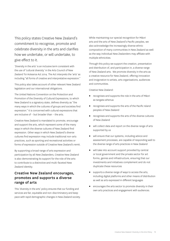This policy states Creative New Zealand's commitment to recognise, promote and celebrate diversity in the arts and clarifies how we undertake, or will undertake, to give effect to it.

'Diversity in the arts' is an inclusive term consistent with the use of 'cultural diversity' in the Arts Council of New Zealand Toi Aotearoa Act 2014. The Act interprets the 'arts' as including "all forms of creative and interpretative expression."

This policy also takes account of other relevant New Zealand legislation and our international obligations.

The United Nations Convention on the Protection and Promotion of the Diversity of Cultural Expressions, to which New Zealand is a signatory state, defines diversity as "the many ways in which the cultures of groups and societies find expression." It is concerned with cultural expressions that are inclusive of – but broader than – the arts.

Creative New Zealand is mandated to promote, encourage and support the arts, which represent some of the many ways in which the diverse cultures of New Zealand find expression. Other ways in which New Zealand's diverse cultures find expression may include traditional non-arts practices, such as sporting and recreational activities or forms of expression outside of Creative New Zealand's remit.

By supporting a broad range of arts expression and participation by all New Zealanders, Creative New Zealand is also demonstrating its support for the role of the arts to contribute to a distinctive and multi-faceted New Zealand identity.

### Creative New Zealand encourages, promotes and supports a diverse range of arts

This 'diversity in the arts' policy ensures that our funding and services are fair, equitable and non-discriminatory and keep pace with rapid demographic changes in New Zealand society. While maintaining our special recognition for Māori arts and the arts of New Zealand's Pacific peoples, we also acknowledge the increasingly diverse ethnic composition of many communities in New Zealand as well as the way individual New Zealanders may affiliate with multiple ethnicities.

Through this policy we support the creation, presentation and distribution of, and participation in, a diverse range of New Zealand arts. We promote diversity in the arts as a creative resource for New Zealand, offering innovation and invigoration to artists, arts organisations, audiences and communities.

Creative New Zealand:

- recognises and supports the role in the arts of Māori as tangata whenua
- recognises and supports the arts of the Pacific Island peoples of New Zealand
- recognises and supports the arts of the diverse cultures of New Zealand
- will collect data and report on the diverse range of arts supported by us
- will ensure that our systems, including advice and assessment processes, are capable of responding well to the diverse range of arts practices in New Zealand
- will take into account support provided by central or local government and the private sector for art forms, genres and infrastructure, ensuring that our investments and initiatives complement and do not duplicate these resources
- supports a diverse range of ways to access the arts, including digital platforms and other means of distribution as well as arts expressed in different languages
- encourages the arts sector to promote diversity in their own arts practices and engagement with audiences.